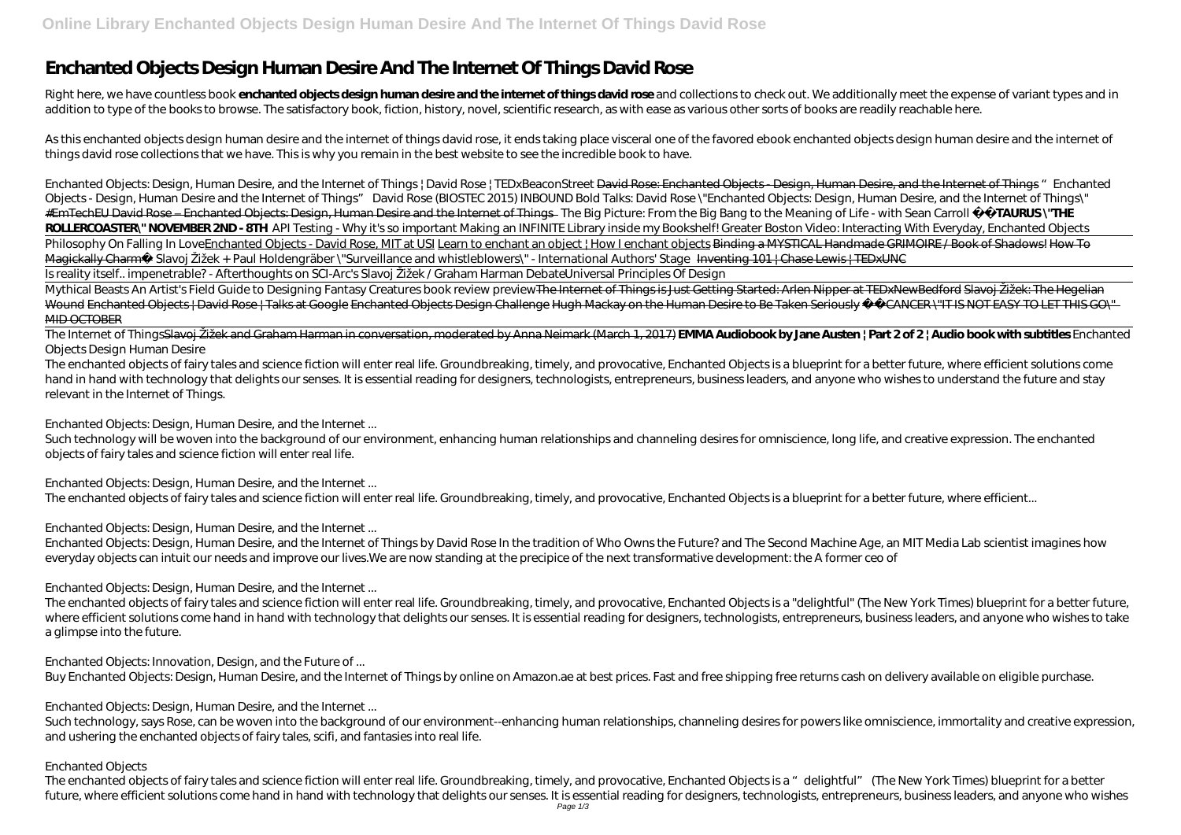# **Enchanted Objects Design Human Desire And The Internet Of Things David Rose**

Right here, we have countless book enchanted objects design human desire and the internet of things david rose and collections to check out. We additionally meet the expense of variant types and in addition to type of the books to browse. The satisfactory book, fiction, history, novel, scientific research, as with ease as various other sorts of books are readily reachable here.

As this enchanted objects design human desire and the internet of things david rose, it ends taking place visceral one of the favored ebook enchanted objects design human desire and the internet of things david rose collections that we have. This is why you remain in the best website to see the incredible book to have.

Enchanted Objects: Design, Human Desire, and the Internet of Things | David Rose | TEDxBeaconStreet David Rose: Enchanted Objects - Design, Human Desire, and the Internet of Things *"Enchanted* Objects - Design, Human Desire and the Internet of Things" David Rose (BIOSTEC 2015) INBOUND Bold Talks: David Rose \"Enchanted Objects: Design, Human Desire, and the Internet of Things\" #EmTechEU David Rose – Enchanted Objects: Design, Human Desire and the Internet of Things The Big Picture: From the Big Bang to the Meaning of Life - with Sean Carroll **❤️TAURUS \"THE ROLLERCOASTER\" NOVEMBER 2ND - 8TH** *API Testing - Why it's so important* Making an INFINITE Library inside my Bookshelf! Greater Boston Video: Interacting With Everyday, Enchanted Objects Philosophy On Falling In LoveEnchanted Objects - David Rose, MIT at USI Learn to enchant an object ! How I enchant objects Binding a MYSTICAL Handmade GRIMOIRE / Book of Shadows! How To Magickally Charm— Slavoj Žižek + Paul Holdengräber \"Surveillance and whistleblowers\" - International Authors' Stage Inventing 101 | Chase Lewis | TEDxUNC Is reality itself.. impenetrable? - Afterthoughts on SCI-Arc's Slavoj Žižek / Graham Harman Debate*Universal Principles Of Design*

Mythical Beasts An Artist's Field Guide to Designing Fantasy Creatures book review previewThe Internet of Things is Just Getting Started: Arlen Nipper at TEDxNewBedford Slavoi Žižek: The Hegelian Wound Enchanted Objects | David Rose | Talks at Google Enchanted Objects Design Challenge Hugh Mackay on the Human Desire to Be Taken Seriously — CANCER \"IT IS NOT EASY TO LET THIS GO\" **MID OCTOBER** 

Such technology will be woven into the background of our environment, enhancing human relationships and channeling desires for omniscience, long life, and creative expression. The enchanted objects of fairy tales and science fiction will enter real life.

#### The Internet of ThingsSlavoj Žižek and Graham Harman in conversation, moderated by Anna Neimark (March 1, 2017) **EMMA Audiobook by Jane Austen | Part 2 of 2 | Audio book with subtitles** *Enchanted Objects Design Human Desire*

Such technology, says Rose, can be woven into the background of our environment--enhancing human relationships, channeling desires for powers like omniscience, immortality and creative expression, and ushering the enchanted objects of fairy tales, scifi, and fantasies into real life.

The enchanted objects of fairy tales and science fiction will enter real life. Groundbreaking, timely, and provocative, Enchanted Objects is a blueprint for a better future, where efficient solutions come hand in hand with technology that delights our senses. It is essential reading for designers, technologists, entrepreneurs, business leaders, and anyone who wishes to understand the future and stay relevant in the Internet of Things.

#### *Enchanted Objects: Design, Human Desire, and the Internet ...*

#### *Enchanted Objects: Design, Human Desire, and the Internet ...*

The enchanted objects of fairy tales and science fiction will enter real life. Groundbreaking, timely, and provocative, Enchanted Objects is a blueprint for a better future, where efficient...

## *Enchanted Objects: Design, Human Desire, and the Internet ...*

Enchanted Objects: Design, Human Desire, and the Internet of Things by David Rose In the tradition of Who Owns the Future? and The Second Machine Age, an MIT Media Lab scientist imagines how everyday objects can intuit our needs and improve our lives.We are now standing at the precipice of the next transformative development: the A former ceo of

#### *Enchanted Objects: Design, Human Desire, and the Internet ...*

The enchanted objects of fairy tales and science fiction will enter real life. Groundbreaking, timely, and provocative, Enchanted Objects is a "delightful" (The New York Times) blueprint for a better future, where efficient solutions come hand in hand with technology that delights our senses. It is essential reading for designers, technologists, entrepreneurs, business leaders, and anyone who wishes to take a glimpse into the future.

#### *Enchanted Objects: Innovation, Design, and the Future of ...*

Buy Enchanted Objects: Design, Human Desire, and the Internet of Things by online on Amazon.ae at best prices. Fast and free shipping free returns cash on delivery available on eligible purchase.

#### *Enchanted Objects: Design, Human Desire, and the Internet ...*

#### *Enchanted Objects*

The enchanted objects of fairy tales and science fiction will enter real life. Groundbreaking, timely, and provocative, Enchanted Objects is a "delightful" (The New York Times) blueprint for a better future, where efficient solutions come hand in hand with technology that delights our senses. It is essential reading for designers, technologists, entrepreneurs, business leaders, and anyone who wishes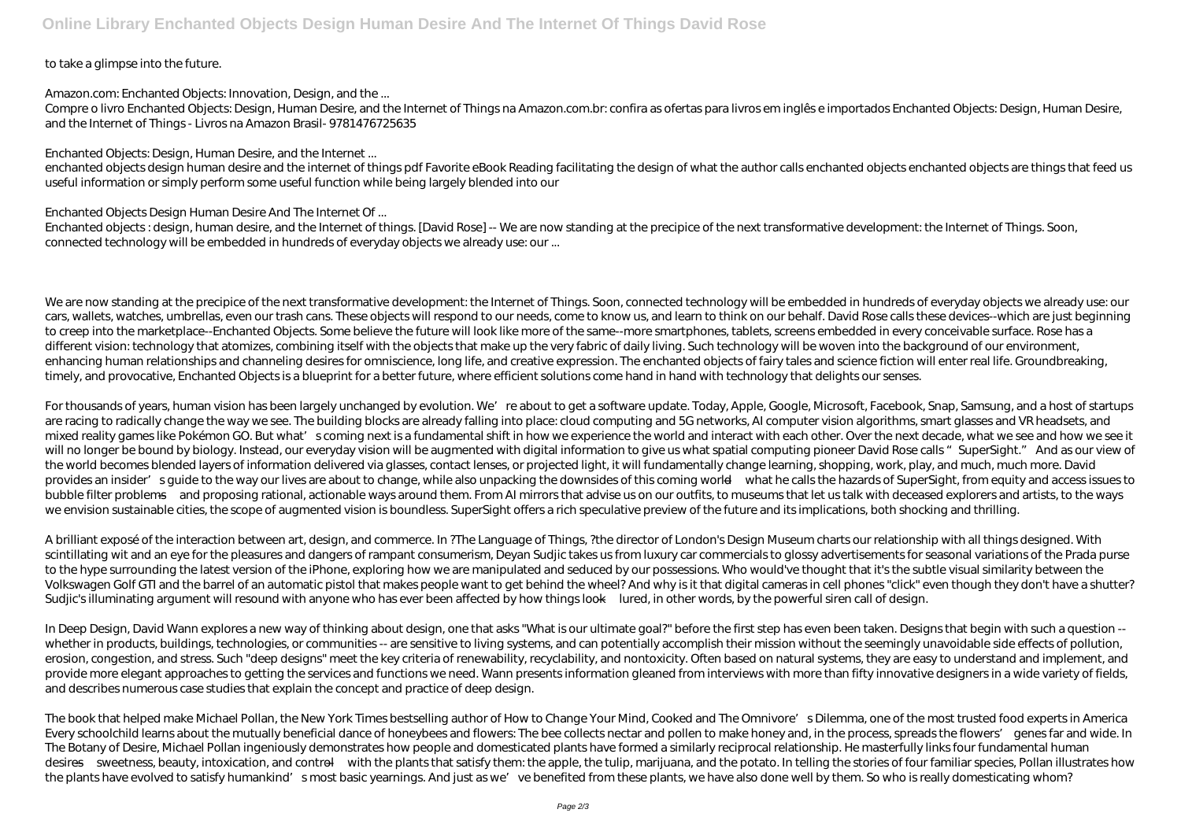### to take a glimpse into the future.

#### *Amazon.com: Enchanted Objects: Innovation, Design, and the ...*

Compre o livro Enchanted Objects: Design, Human Desire, and the Internet of Things na Amazon.com.br: confira as ofertas para livros em inglês e importados Enchanted Objects: Design, Human Desire, and the Internet of Things - Livros na Amazon Brasil- 9781476725635

### *Enchanted Objects: Design, Human Desire, and the Internet ...*

Enchanted objects: design, human desire, and the Internet of things. [David Rose] -- We are now standing at the precipice of the next transformative development: the Internet of Things. Soon, connected technology will be embedded in hundreds of everyday objects we already use: our ...

enchanted objects design human desire and the internet of things pdf Favorite eBook Reading facilitating the design of what the author calls enchanted objects enchanted objects are things that feed us useful information or simply perform some useful function while being largely blended into our

#### *Enchanted Objects Design Human Desire And The Internet Of ...*

We are now standing at the precipice of the next transformative development: the Internet of Things. Soon, connected technology will be embedded in hundreds of everyday objects we already use: our cars, wallets, watches, umbrellas, even our trash cans. These objects will respond to our needs, come to know us, and learn to think on our behalf. David Rose calls these devices--which are just beginning to creep into the marketplace--Enchanted Objects. Some believe the future will look like more of the same--more smartphones, tablets, screens embedded in every conceivable surface. Rose has a different vision: technology that atomizes, combining itself with the objects that make up the very fabric of daily living. Such technology will be woven into the background of our environment, enhancing human relationships and channeling desires for omniscience, long life, and creative expression. The enchanted objects of fairy tales and science fiction will enter real life. Groundbreaking, timely, and provocative, Enchanted Objects is a blueprint for a better future, where efficient solutions come hand in hand with technology that delights our senses.

For thousands of years, human vision has been largely unchanged by evolution. We're about to get a software update. Today, Apple, Google, Microsoft, Facebook, Snap, Samsung, and a host of startups are racing to radically change the way we see. The building blocks are already falling into place: cloud computing and 5G networks, AI computer vision algorithms, smart glasses and VR headsets, and mixed reality games like Pokémon GO. But what's coming next is a fundamental shift in how we experience the world and interact with each other. Over the next decade, what we see and how we see it will no longer be bound by biology. Instead, our everyday vision will be augmented with digital information to give us what spatial computing pioneer David Rose calls "SuperSight." And as our view of the world becomes blended layers of information delivered via glasses, contact lenses, or projected light, it will fundamentally change learning, shopping, work, play, and much, much more. David provides an insider' squide to the way our lives are about to change, while also unpacking the downsides of this coming world—what he calls the hazards of SuperSight, from equity and access issues to bubble filter problems—and proposing rational, actionable ways around them. From AI mirrors that advise us on our outfits, to museums that let us talk with deceased explorers and artists, to the ways we envision sustainable cities, the scope of augmented vision is boundless. SuperSight offers a rich speculative preview of the future and its implications, both shocking and thrilling.

The book that helped make Michael Pollan, the New York Times bestselling author of How to Change Your Mind, Cooked and The Omnivore's Dilemma, one of the most trusted food experts in America Every schoolchild learns about the mutually beneficial dance of honeybees and flowers: The bee collects nectar and pollen to make honey and, in the process, spreads the flowers' genes far and wide. In The Botany of Desire, Michael Pollan ingeniously demonstrates how people and domesticated plants have formed a similarly reciprocal relationship. He masterfully links four fundamental human desires—sweetness, beauty, intoxication, and control—with the plants that satisfy them: the apple, the tulip, marijuana, and the potato. In telling the stories of four familiar species, Pollan illustrates how the plants have evolved to satisfy humankind' smost basic yearnings. And just as we've benefited from these plants, we have also done well by them. So who is really domesticating whom?

A brilliant exposé of the interaction between art, design, and commerce. In ?The Language of Things, ?the director of London's Design Museum charts our relationship with all things designed. With scintillating wit and an eye for the pleasures and dangers of rampant consumerism, Deyan Sudjic takes us from luxury car commercials to glossy advertisements for seasonal variations of the Prada purse to the hype surrounding the latest version of the iPhone, exploring how we are manipulated and seduced by our possessions. Who would've thought that it's the subtle visual similarity between the Volkswagen Golf GTI and the barrel of an automatic pistol that makes people want to get behind the wheel? And why is it that digital cameras in cell phones "click" even though they don't have a shutter? Sudjic's illuminating argument will resound with anyone who has ever been affected by how things look—lured, in other words, by the powerful siren call of design.

In Deep Design, David Wann explores a new way of thinking about design, one that asks "What is our ultimate goal?" before the first step has even been taken. Designs that begin with such a question - whether in products, buildings, technologies, or communities -- are sensitive to living systems, and can potentially accomplish their mission without the seemingly unavoidable side effects of pollution, erosion, congestion, and stress. Such "deep designs" meet the key criteria of renewability, recyclability, and nontoxicity. Often based on natural systems, they are easy to understand and implement, and provide more elegant approaches to getting the services and functions we need. Wann presents information gleaned from interviews with more than fifty innovative designers in a wide variety of fields, and describes numerous case studies that explain the concept and practice of deep design.